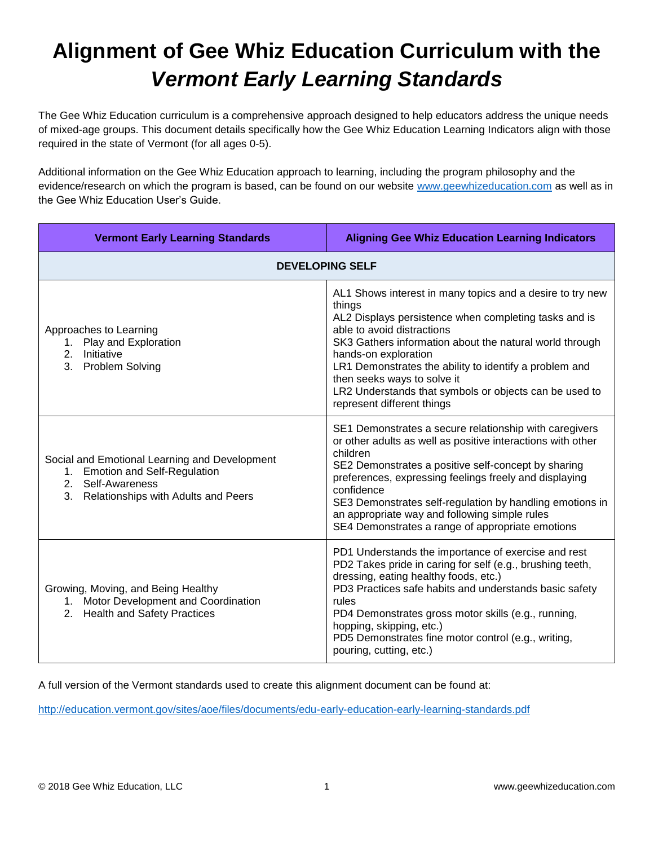## **Alignment of Gee Whiz Education Curriculum with the**  *Vermont Early Learning Standards*

The Gee Whiz Education curriculum is a comprehensive approach designed to help educators address the unique needs of mixed-age groups. This document details specifically how the Gee Whiz Education Learning Indicators align with those required in the state of Vermont (for all ages 0-5).

Additional information on the Gee Whiz Education approach to learning, including the program philosophy and the evidence/research on which the program is based, can be found on our website [www.geewhizeducation.com](http://www.geewhizeducation.com/) as well as in the Gee Whiz Education User's Guide.

| <b>Vermont Early Learning Standards</b>                                                                                                              | <b>Aligning Gee Whiz Education Learning Indicators</b>                                                                                                                                                                                                                                                                                                                                                                            |  |
|------------------------------------------------------------------------------------------------------------------------------------------------------|-----------------------------------------------------------------------------------------------------------------------------------------------------------------------------------------------------------------------------------------------------------------------------------------------------------------------------------------------------------------------------------------------------------------------------------|--|
| <b>DEVELOPING SELF</b>                                                                                                                               |                                                                                                                                                                                                                                                                                                                                                                                                                                   |  |
| Approaches to Learning<br>1. Play and Exploration<br>2 <sub>1</sub><br>Initiative<br><b>Problem Solving</b><br>3.                                    | AL1 Shows interest in many topics and a desire to try new<br>things<br>AL2 Displays persistence when completing tasks and is<br>able to avoid distractions<br>SK3 Gathers information about the natural world through<br>hands-on exploration<br>LR1 Demonstrates the ability to identify a problem and<br>then seeks ways to solve it<br>LR2 Understands that symbols or objects can be used to<br>represent different things    |  |
| Social and Emotional Learning and Development<br>1. Emotion and Self-Regulation<br>Self-Awareness<br>2.<br>3.<br>Relationships with Adults and Peers | SE1 Demonstrates a secure relationship with caregivers<br>or other adults as well as positive interactions with other<br>children<br>SE2 Demonstrates a positive self-concept by sharing<br>preferences, expressing feelings freely and displaying<br>confidence<br>SE3 Demonstrates self-regulation by handling emotions in<br>an appropriate way and following simple rules<br>SE4 Demonstrates a range of appropriate emotions |  |
| Growing, Moving, and Being Healthy<br>1. Motor Development and Coordination<br>2. Health and Safety Practices                                        | PD1 Understands the importance of exercise and rest<br>PD2 Takes pride in caring for self (e.g., brushing teeth,<br>dressing, eating healthy foods, etc.)<br>PD3 Practices safe habits and understands basic safety<br>rules<br>PD4 Demonstrates gross motor skills (e.g., running,<br>hopping, skipping, etc.)<br>PD5 Demonstrates fine motor control (e.g., writing,<br>pouring, cutting, etc.)                                 |  |

A full version of the Vermont standards used to create this alignment document can be found at:

<http://education.vermont.gov/sites/aoe/files/documents/edu-early-education-early-learning-standards.pdf>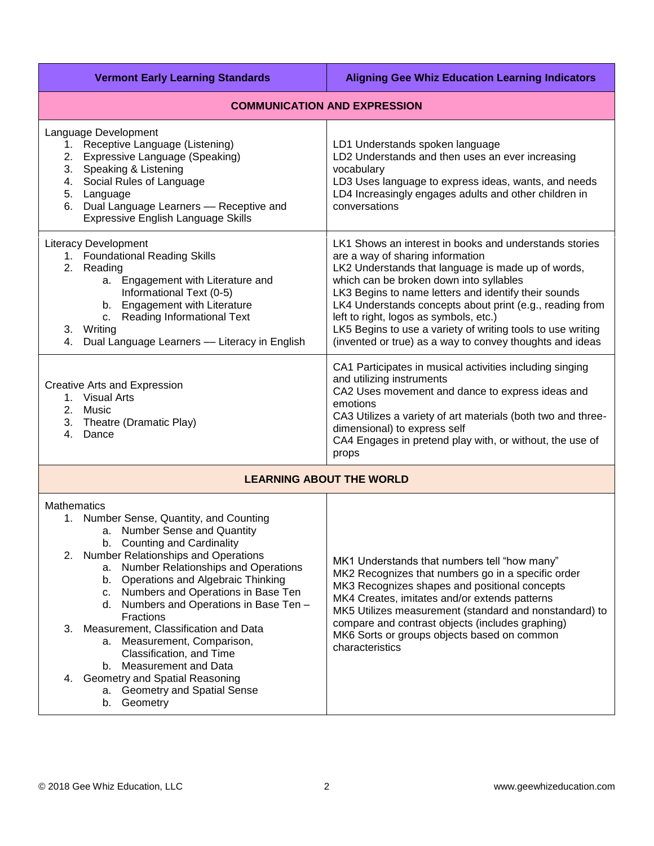| <b>Vermont Early Learning Standards</b>                                                                                                                                                                                                                                                                                                                                                                                                                                                                                                                                                                                         | <b>Aligning Gee Whiz Education Learning Indicators</b>                                                                                                                                                                                                                                                                                                                                                                                                                               |  |
|---------------------------------------------------------------------------------------------------------------------------------------------------------------------------------------------------------------------------------------------------------------------------------------------------------------------------------------------------------------------------------------------------------------------------------------------------------------------------------------------------------------------------------------------------------------------------------------------------------------------------------|--------------------------------------------------------------------------------------------------------------------------------------------------------------------------------------------------------------------------------------------------------------------------------------------------------------------------------------------------------------------------------------------------------------------------------------------------------------------------------------|--|
| <b>COMMUNICATION AND EXPRESSION</b>                                                                                                                                                                                                                                                                                                                                                                                                                                                                                                                                                                                             |                                                                                                                                                                                                                                                                                                                                                                                                                                                                                      |  |
| Language Development<br>1. Receptive Language (Listening)<br>2. Expressive Language (Speaking)<br>3. Speaking & Listening<br>Social Rules of Language<br>4.<br>Language<br>5.<br>Dual Language Learners - Receptive and<br>6.<br>Expressive English Language Skills                                                                                                                                                                                                                                                                                                                                                             | LD1 Understands spoken language<br>LD2 Understands and then uses an ever increasing<br>vocabulary<br>LD3 Uses language to express ideas, wants, and needs<br>LD4 Increasingly engages adults and other children in<br>conversations                                                                                                                                                                                                                                                  |  |
| <b>Literacy Development</b><br>1. Foundational Reading Skills<br>2. Reading<br>a. Engagement with Literature and<br>Informational Text (0-5)<br>b. Engagement with Literature<br><b>Reading Informational Text</b><br>C.<br>Writing<br>3.<br>Dual Language Learners - Literacy in English<br>4.                                                                                                                                                                                                                                                                                                                                 | LK1 Shows an interest in books and understands stories<br>are a way of sharing information<br>LK2 Understands that language is made up of words,<br>which can be broken down into syllables<br>LK3 Begins to name letters and identify their sounds<br>LK4 Understands concepts about print (e.g., reading from<br>left to right, logos as symbols, etc.)<br>LK5 Begins to use a variety of writing tools to use writing<br>(invented or true) as a way to convey thoughts and ideas |  |
| Creative Arts and Expression<br>1. Visual Arts<br>2.<br>Music<br>Theatre (Dramatic Play)<br>3.<br>$\mathbf{4}$ .<br>Dance                                                                                                                                                                                                                                                                                                                                                                                                                                                                                                       | CA1 Participates in musical activities including singing<br>and utilizing instruments<br>CA2 Uses movement and dance to express ideas and<br>emotions<br>CA3 Utilizes a variety of art materials (both two and three-<br>dimensional) to express self<br>CA4 Engages in pretend play with, or without, the use of<br>props                                                                                                                                                           |  |
| <b>LEARNING ABOUT THE WORLD</b>                                                                                                                                                                                                                                                                                                                                                                                                                                                                                                                                                                                                 |                                                                                                                                                                                                                                                                                                                                                                                                                                                                                      |  |
| <b>Mathematics</b><br>1. Number Sense, Quantity, and Counting<br><b>Number Sense and Quantity</b><br>a.<br>b. Counting and Cardinality<br><b>Number Relationships and Operations</b><br>2.<br>Number Relationships and Operations<br>a.<br>b. Operations and Algebraic Thinking<br>c. Numbers and Operations in Base Ten<br>Numbers and Operations in Base Ten -<br>d.<br>Fractions<br>Measurement, Classification and Data<br>3.<br>Measurement, Comparison,<br>а.<br>Classification, and Time<br><b>Measurement and Data</b><br>b.<br>Geometry and Spatial Reasoning<br>4.<br>a. Geometry and Spatial Sense<br>Geometry<br>b. | MK1 Understands that numbers tell "how many"<br>MK2 Recognizes that numbers go in a specific order<br>MK3 Recognizes shapes and positional concepts<br>MK4 Creates, imitates and/or extends patterns<br>MK5 Utilizes measurement (standard and nonstandard) to<br>compare and contrast objects (includes graphing)<br>MK6 Sorts or groups objects based on common<br>characteristics                                                                                                 |  |